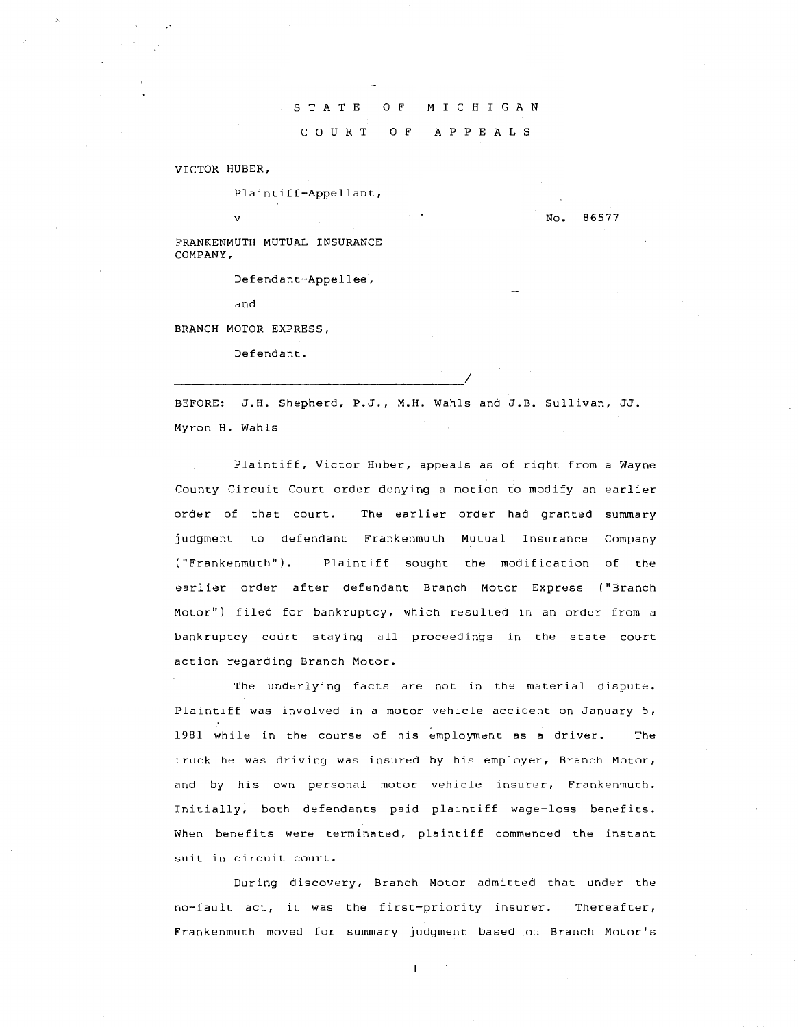## S T A T E C 0 U R T 0 F M I C H I G A N 0 F A P P E A L S

VICTOR HUBER,

Plaintiff-Appellant,

No. 86577

FRANKENMUTH MUTUAL INSURANCE COMPANY,

Defendant-Appellee,

and

v

BRANCH MOTOR EXPRESS,

Defendant.

BEFORE: J.H. Shepherd, P.J., M.H. Wahls and J.B. Sullivan, JJ. Myron H. Wahls

Plaintiff, Victor Huber, appeals as of right from a Wayne County Circuit Court order denying a motion t'o modify an earlier order of that court. The earlier order had granted summary judgment to defendant Frankenmuth Mutual Insurance Company ("Frankenmuth"). Plaintiff sought the modification of the earlier order after defendant Branch Motor Express ("Sranch Motor") filed for bankruptcy, which resulted in an order from a bankruptcy court staying all proceedings in the state court action regarding Branch Motor.

The underlying facts are not in the material dispute. Plaintiff was involved in a motor vehicle accident on January 5, 1981 while in the course of his employment as a driver. The truck he was driving was insured by his employer, Branch Motor, and by his own personal motor vehicle insurer, Frankenmuth. Initially, both defendants paid plaintiff wage-loss benefits. When benefits were terminated, plaintiff commenced the instant suit in circuit court.

During discovery, Branch Motor admitted that under the no-fault act, it was the first-priority insurer. Thereafter, Frankenmuth moved for summary judgment based on Branch Motor's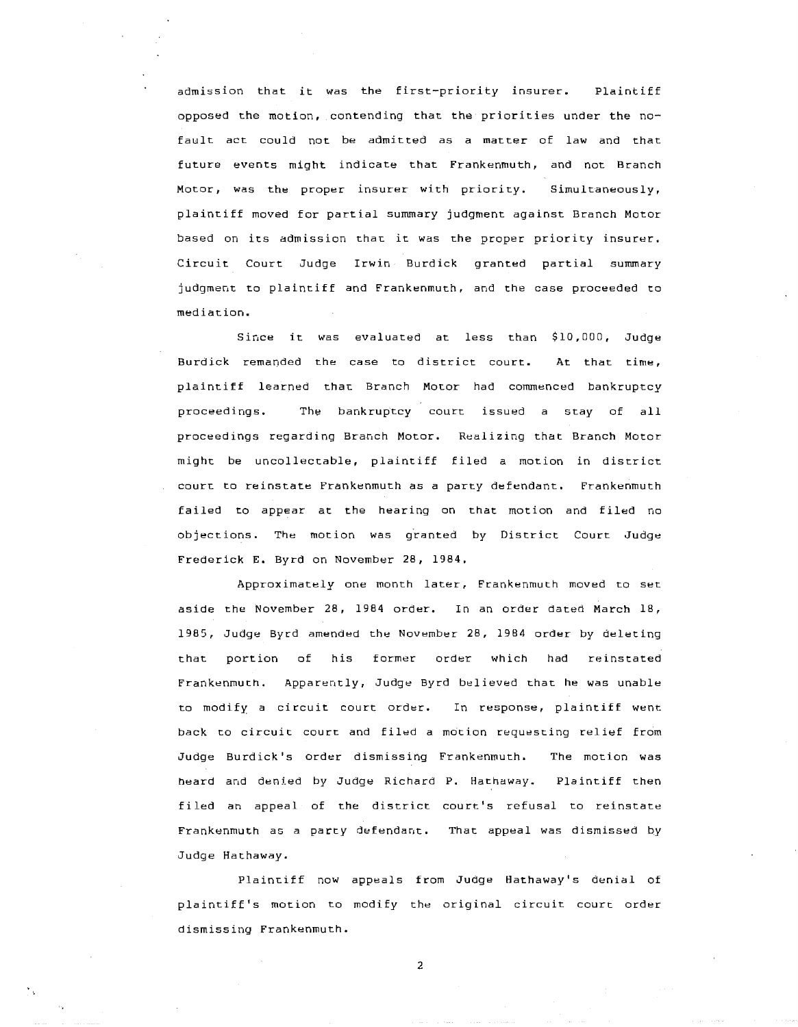admission that it was the first-priority insurer. Plaintiff opposed the motion, contending that the priorities under the nofault act could not be admitted as a matter of law and that future events might indicate that Frankenmuth, and not Branch Motor, was the proper insurer with priority. Simultaneously, plaintiff moved for partial summary judgment against Branch Motor based on its admission that it was the proper priority insurer. Circuit Court Judge Irwin Burdick granted partial summary judgment to plaintiff and Frankenmuth, and the case proceeded to mediation.

Since it was evaluated at less than \$10,000, Judge Burdick remanded the case to district court. At that time, plaintiff learned that Branch Motor had commenced bankruptcy proceedings. The bankruptcy court issued a stay of all proceedings regarding Branch Motor. Realizing that Branch Motor might be uncollectable, plaintiff filed a motion in district court to reinstate Frankenmuth as a party defendant. Frankenmuth failed to appear at the hearing on that motion and filed no objections. The motion was granted by District Court Judge Frederick E. Byrd on November 28, 1984.

Approximately one month later, Frankenmuth moved to set aside the November 28, 1984 order. In an order dated March 18, 1985, Judge Byrd amended the November 28, 1984 order by deleting that portion of his former order which had reinstated Frankenmuth. Apparently, Judge Byrd believed that he was unable to modify a circuit court order. In response, plaintiff went back to circuit court and filed a motion requesting relief from Judge Burdick 's order dismissing Frankenmuth. The motion was heard and dented by Judge Richard P. Hathaway. Plaintiff then filed an appeal of the district court's refusal to reinstate Frankenmuth as a party defendant. That appeal was dismissed by Judge Hathaway.

Plaintiff now appeals from Judge Hathaway's denial of plaintiff's motion to modify the original circuit court order dismissing Frankenmuth.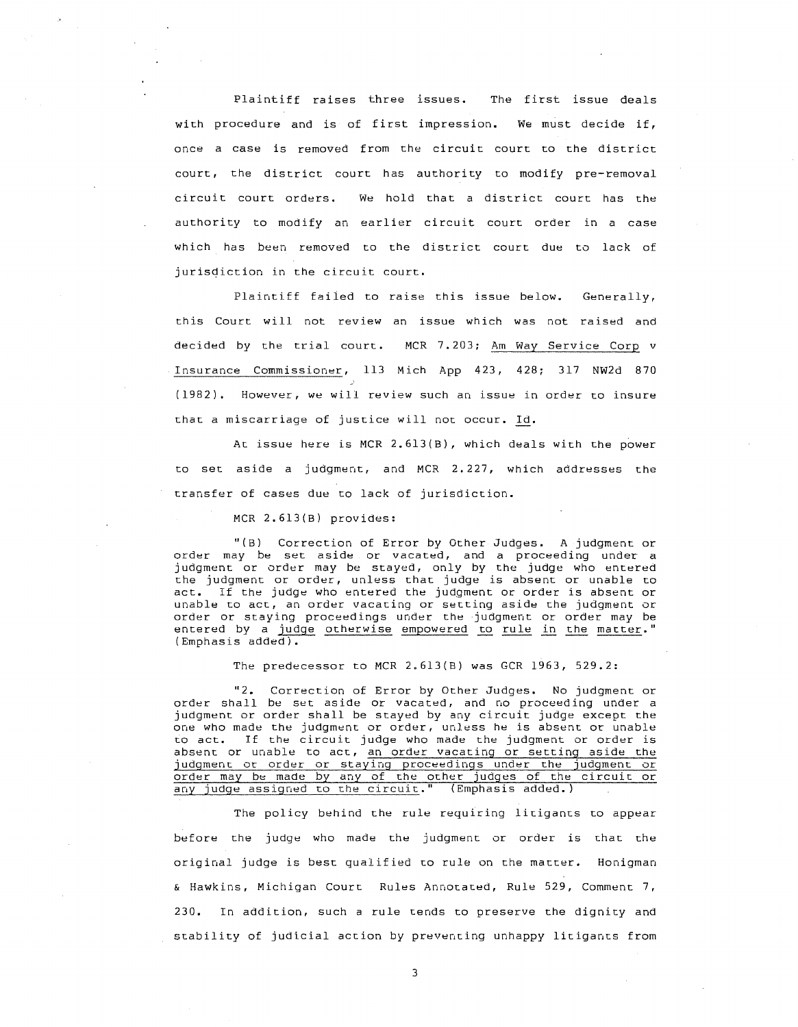Plaintiff raises three issues. The first issue deals with procedure and is of first impression. We must decide if, once a case is removed from the circuit court to the district court, the district court has authority to modify pre-removal circuit court orders. We hold that a district court has the authority to modify an earlier circuit court order in a case which has been removed to the district court due to lack of jurisdiction in the circuit court.

Plaintiff faiied to raise this issue below. Generally, this Court will not review an issue which was not raised and decided by the trial court. MCR 7.203; Am Way Service Corp v Insurance Commissioner, 113 Mich App 423, 428; 317 NW2d 870 (1982). However, we will review such an issue in order to insure that a miscarriage of justice will not occur. Id.

At issue here is MCR 2.613(B), which deals with the power to set aside a judgment, and MCR 2. 227, which addresses the transfer of cases due to lack of jurisdiction.

MCR 2.613(B) provides:

"(B) Correction of Error by Other Judges. A judgment or order may be set aside or vacated, and a proceeding under a judgment or order may be stayed, only by the judge who entered the judgment or order, unless that judge is absent or unable to act. If the judge who entered the judgment or order is absent or unable to act, an order vacating or setting aside the judgment or unable to act, an order vacating or setting aside the judgment or<br>order or staying proceedings under the judgment or order may be<br>entered by a judge otherwise empowered to rule in the matter." (Emphasis added).

The predecessor to MCR 2.613(B) was GCR 1963, 529.2:

"2. Correction of Error by Other Judges. No judgment or order shall be set aside or vacated, and no proceeding under a judgment or order shall be stayed by any circuit judge except the one who made the judgment or order, unless he is absent or unable to act. If the circuit judge who made the judgment or order is absent or unable to act, an order vacating or setting aside the judgment or order or staying proceedings under the judgment or order may be made by any of the other judges of the circuit or any judge assigned to the circuit." (Emphasis added.)

The policy behind the rule requiring litigants to appear before the judge who made the judgment or order is that the original judge is best qualified to rule on the matter. Honigman & Hawkins, Michigan Court Rules Annotated, Rule 529, Comment 7, 230. In addition, such a rule tends to preserve the dignity and stability of judicial action by preventing unhappy litigants from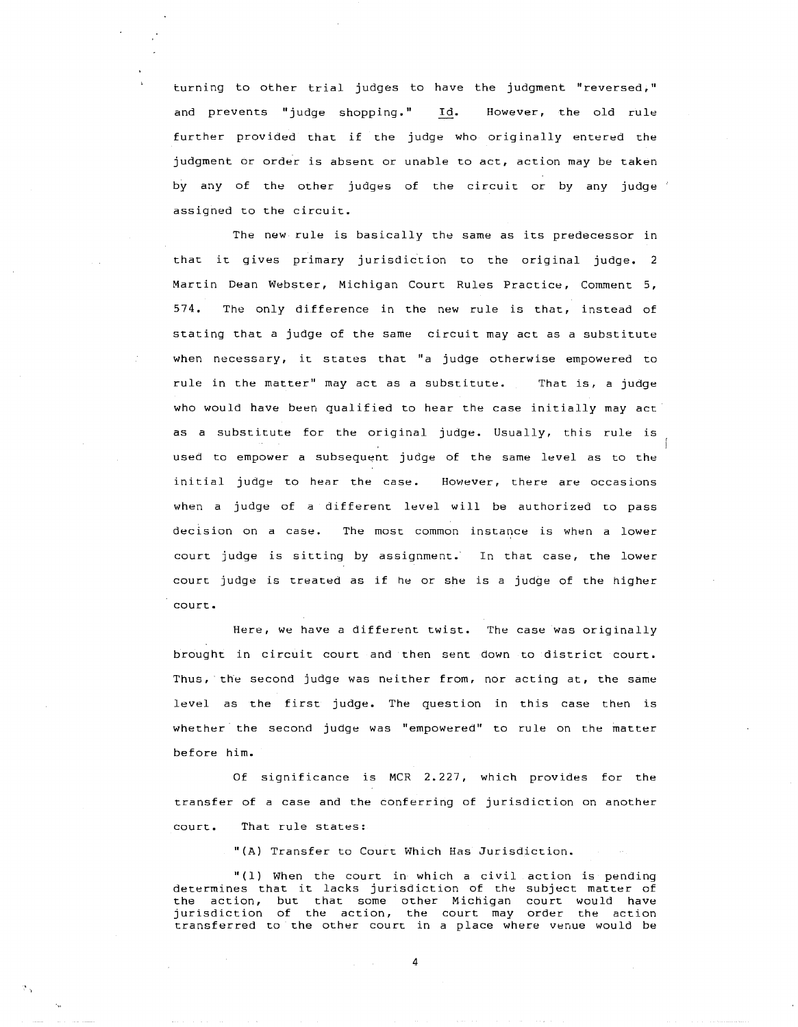turning to other trial judges to have the judgment "reversed," and prevents "judge shopping." Id. However, the old rule further provided that if the judge who originally entered the judgment or order is absent or unable to act, action may be taken by any of the other judges of the circuit or by any judge assigned to the circuit.

The new rule is basically the same as its predecessor in that it gives primary jurisdiction to the original judge. 2 Martin Dean Webster, Michigan Court Rules Practice, Comment 5, 574. The only difference in the new rule is that, instead of stating that a judge of the same circuit may act as a substitute when necessary, it states that "a judge otherwise empowered to rule in the matter" may act as a substitute. That is, a judge who would have been qualified to hear the case initially may act as a substitute for the original judge. Usually, this rule is used to empower a subsequent judge of the same level as to the initial judge to hear the case. However, there are occasions when a judge of a different level will be authorized to pass decision on a case. The most: common instance is when a lower court judge is sitting by assignment. In that case, the lower court judge is treated as if he or she is a judge of the higher court:.

Here, we have a different twist. The case was originally brought in circuit court and then sent down to district court. Thus, the second judge was neither from, nor acting at, the same level as the first judge. The question in this case then is whether the second judge was "empowered" to rule on the matter before him.

Of significance is MCR 2.227, which provides for the transfer of a case and the conferring of jurisdiction on another court. That rule states:

"(A) Transfer to Court Which Has Jurisdiction.

"(1) When the court in which a civil action is pending determines that it lacks jurisdiction of the subject matter of the action, but that some other Michigan court would have jurisdiction of the action, the court may order the action transferred to the other court in a place where venue would be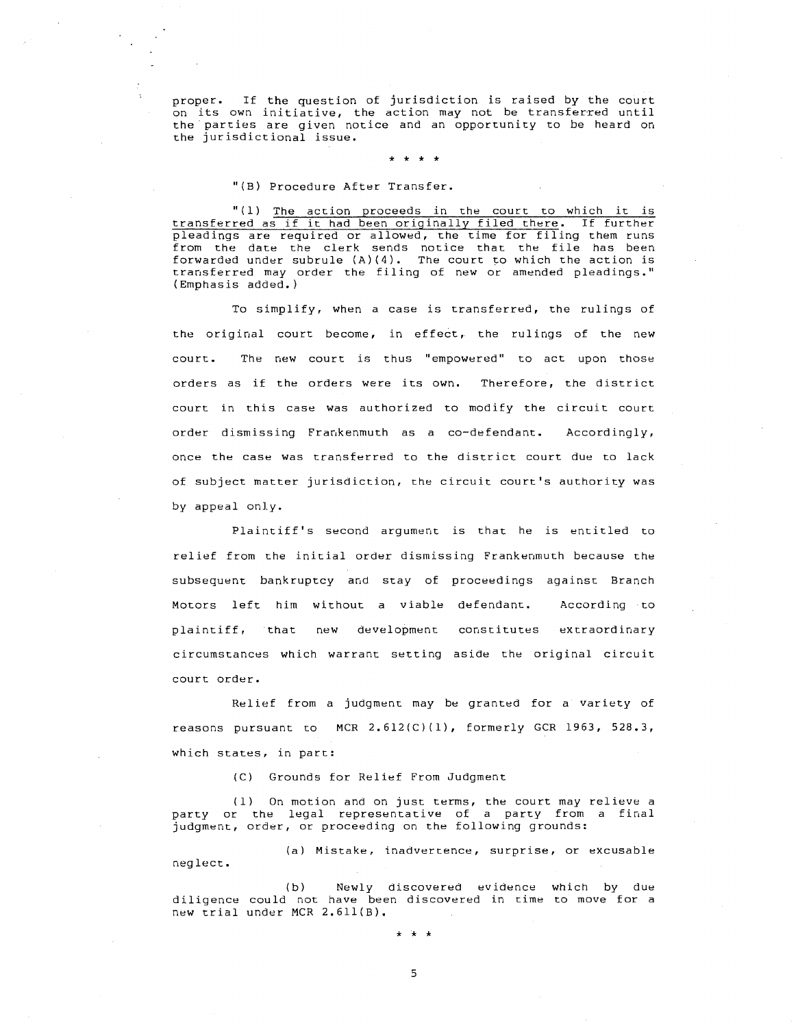proper. If the question of jurisdiction is raised by the court on its own initiative, the action may not be transferred until the parties are given notice and an opportunity to be heard on the jurisdictional issue.

## \* \* \* \*

## "(B) Procedure After Transfer.

"(1) The action proceeds in the court to which it is transferred as if it had been originally filed there. If further pleadings are required or allowed, the time for filing them runs from the date the clerk sends notice that the file has been forwarded under subrule (A)(4). The court to which the action is transferred may order the filing of new or amended pleadings." (Emphasis added.)

To simplify, when a case is transferred, the rulings of the original court become, in effect, the rulings of the new court. The new court is thus "empowered" to act upon those orders as if the orders were its own. Therefore, the district court in this case was authorized to modify the circuit court order dismissing Frankenmuth as a co-defendant. Accordingly, once the case was transferred to the district court due to lack of subject matter jurisdiction, the circuit court's authority was *by* appeal only.

Plaintiff's second argument is that he is entitled to relief from the initial order dismissing Frankenmuth because the subsequent bankruptcy and stay of proceedings against Branch Motors left him without a viable defendant. According to plaintiff, that new development constitutes extraordinary circumstances which warrant setting aside the original circuit court order.

Relief from a judgment may be granted for a variety of reasons pursuant co MCR 2.612(C)(l), formerly GCR 1963, 528.3, which states, in part:

(C) Grounds for Relief From Judgment

(1) On motion and on just. terms, the court may relieve a party or the legal representative of a party from a final judgment, order, or proceeding on the following grounds:

(a) Mistake, inadvertence, surprise, or excusable neglect.

(b) Newly discovered evidence which by due diligence could not have been discovered in time to move for a new trial under MCR 2.611(8).

5

\* \* \*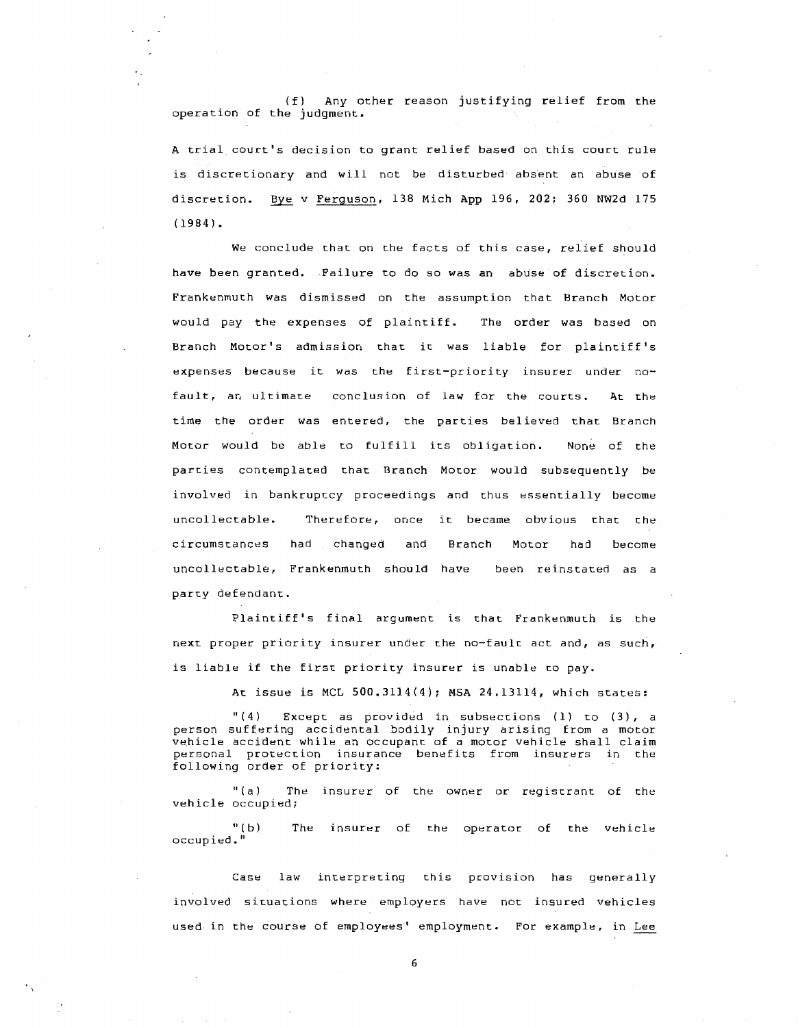( f) Any other reason justifying relief from the operation of the judgment.

A trial court's decision to grant relief based on this court rule is discretionary and will not be disturbed absent an abuse of discretion. Bye v Ferguson, 138 Mich App 196, 202; 360 NW2d 175 (1984).

We conclude that on the facts of this case, relief should have been granted. Failure to do so was an abuse of discretion. Frankenmuth was dismissed on the assumption that Branch Motor would pay the expenses of plaintiff. The order was based on Branch Motor's admission that it was liable for plaintiff's expenses because it was the first-priority insurer under nofault, an ultimate conclusion of law for the courts. At the time the order was entered, the parties believed that Branch Motor would be able to fulfill its obligation. None of the parties contemplated that Branch Motor would subsequently be involved in bankruptcy proceedings and thus essentially become uncollectable. Therefore, once it became obvious that the circumstances had changed and Branch Motor had become uncollectable, Frankenmuth should have been reinstated as a party defendant.

Plaintiff's final argument is that Frankenmuth is the next proper priority insurer under the no-fault act and, as such, is liable if the first priority insurer is unable to pay.

At issue is MCL  $500.3114(4)$ ; MSA  $24.13114$ , which states:

 $''(4)$  Except as provided in subsections (1) to (3), a person suffering accidental bodily injury arising from a motor vehicle accident while an occupant of a motor vehicle shall claim personal protection insurance benefits from insurers in the following order of priority:

"(a) The insurer of the owner or registrant of the vehicle occupied;

 $"$  $(b)$ occupied." The insurer of the operator of the vehicle

Case law interpreting this provision has generally involved situations where employers have not insured vehicles used in the course of employees' employment. For example, in Lee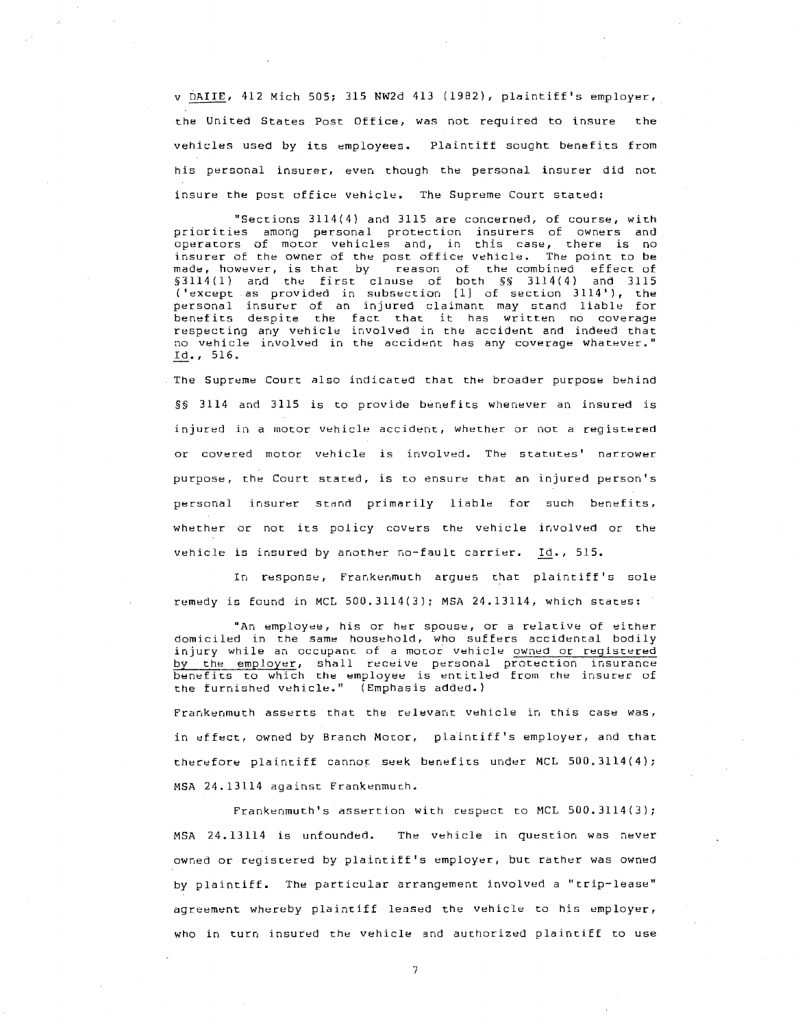v DAIIE, 412 Mich 505; 315 NW2d 413 (1982), plaintiff's employer, the United States Post Office, was not required to insure the vehicles used by its employees. Plaintiff sought benefits from his personal insurer, even though the personal insurer did not insure the post office vehicle. The Supreme Court stated:

"Sections 3114(4) and 3115 are concerned, of course, with priorities among personal protection insurers of owners and operators of motor vehicles and, in this case, there is no insurer of the owner of the post office vehicle. The point to be made, however, is that by reason of the combined effect of §3114(1) and the first clause of both §§ 3114(4) and 3115 ('except as provided in subsection [l] of section 3114'), the personal insurer of an injured claimant may stand liable for benefits despite the fact that it has written no coverage respecting any vehicle involved in the accident and indeed that no vehicle involved in the accident has any coverage whatever." Id., 516.

The Supreme Court also indicated that the broader purpose behind §§ 3114 and 3115 is to provide benefits whenever an insured is injured in a motor vehicle accident, whether or not a registered or covered motor vehicle is involved. The statutes' narrower purpose, the Court stated, is to ensure that an injured person's personal insurer stand primarily liable for such benefits, whether or not its policy covers the vehicle involved or the vehicle is insured by another no-fault carrier. Id., 515.

In response, Frankenmuth argues that plaintiff's sole remedy is found in MCL 500.3114(3); MSA 24.13114, which states:

"An employee, his or her spouse, or a relative of either domiciled in the same household, who suffers accidental bodily injury while an occupant of a motor vehicle owned or registered by the employer, shall receive personal protection insurance benefits to which the employee is entitled from the insurer of the furnished vehicle." (Emphasis added.)

Frankenmuth asserts that the relevant vehicle ir, this case was, in effect, owned by Branch Motor, plaintiff's employer, and that therefore plaintiff cannot seek benefits under MCL 500.3114(4); MSA 24.13114 against Frankenmuth.

Frankenmuth's assertion with respect to MCL 500.3114(3); MSA 24.13114 is unfounded. The vehicle in question was never owned or registered by plaintiff's employer, but rather was owned by plaintiff. The particular arrangement involved a "trip-lease" agreement whereby plaintiff leased the vehicle to his employer, who in turn insured the vehicle and authorized plaintiff to use